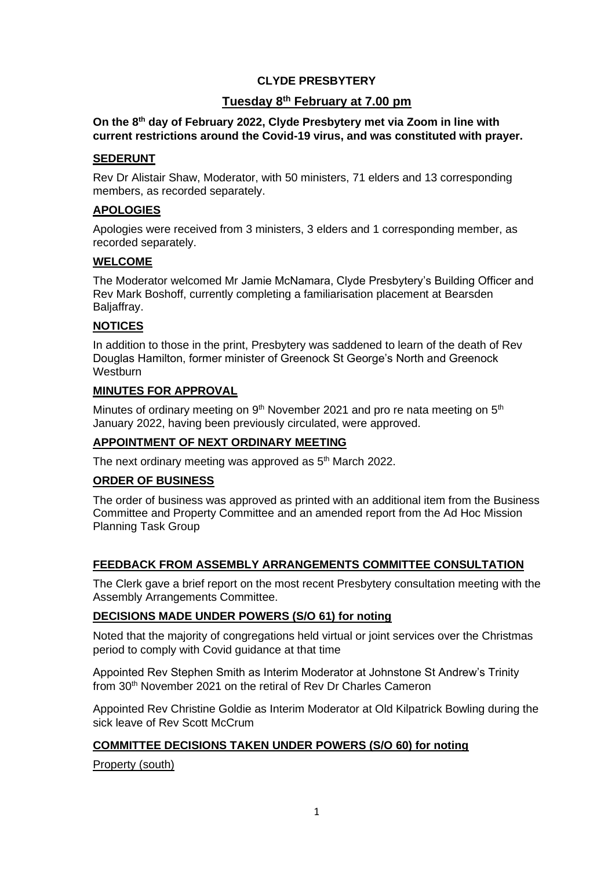# **CLYDE PRESBYTERY**

# **Tuesday 8 th February at 7.00 pm**

#### **On the 8 th day of February 2022, Clyde Presbytery met via Zoom in line with current restrictions around the Covid-19 virus, and was constituted with prayer.**

#### **SEDERUNT**

Rev Dr Alistair Shaw, Moderator, with 50 ministers, 71 elders and 13 corresponding members, as recorded separately.

### **APOLOGIES**

Apologies were received from 3 ministers, 3 elders and 1 corresponding member, as recorded separately.

## **WELCOME**

The Moderator welcomed Mr Jamie McNamara, Clyde Presbytery's Building Officer and Rev Mark Boshoff, currently completing a familiarisation placement at Bearsden Baljaffray.

## **NOTICES**

In addition to those in the print, Presbytery was saddened to learn of the death of Rev Douglas Hamilton, former minister of Greenock St George's North and Greenock **Westburn** 

### **MINUTES FOR APPROVAL**

Minutes of ordinary meeting on 9<sup>th</sup> November 2021 and pro re nata meeting on 5<sup>th</sup> January 2022, having been previously circulated, were approved.

## **APPOINTMENT OF NEXT ORDINARY MEETING**

The next ordinary meeting was approved as 5<sup>th</sup> March 2022.

#### **ORDER OF BUSINESS**

The order of business was approved as printed with an additional item from the Business Committee and Property Committee and an amended report from the Ad Hoc Mission Planning Task Group

## **FEEDBACK FROM ASSEMBLY ARRANGEMENTS COMMITTEE CONSULTATION**

The Clerk gave a brief report on the most recent Presbytery consultation meeting with the Assembly Arrangements Committee.

#### **DECISIONS MADE UNDER POWERS (S/O 61) for noting**

Noted that the majority of congregations held virtual or joint services over the Christmas period to comply with Covid guidance at that time

Appointed Rev Stephen Smith as Interim Moderator at Johnstone St Andrew's Trinity from 30th November 2021 on the retiral of Rev Dr Charles Cameron

Appointed Rev Christine Goldie as Interim Moderator at Old Kilpatrick Bowling during the sick leave of Rev Scott McCrum

## **COMMITTEE DECISIONS TAKEN UNDER POWERS (S/O 60) for noting**

## Property (south)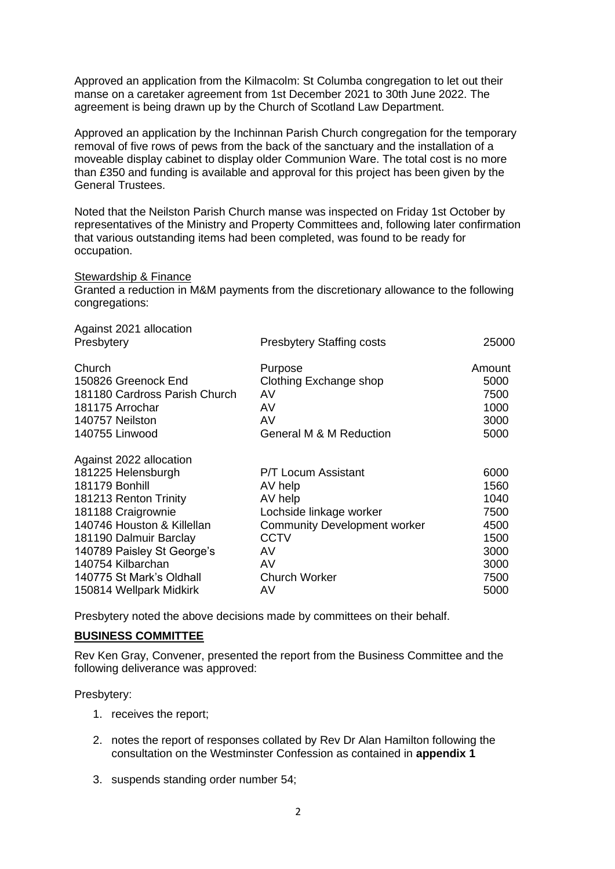Approved an application from the Kilmacolm: St Columba congregation to let out their manse on a caretaker agreement from 1st December 2021 to 30th June 2022. The agreement is being drawn up by the Church of Scotland Law Department.

Approved an application by the Inchinnan Parish Church congregation for the temporary removal of five rows of pews from the back of the sanctuary and the installation of a moveable display cabinet to display older Communion Ware. The total cost is no more than £350 and funding is available and approval for this project has been given by the General Trustees.

Noted that the Neilston Parish Church manse was inspected on Friday 1st October by representatives of the Ministry and Property Committees and, following later confirmation that various outstanding items had been completed, was found to be ready for occupation.

#### Stewardship & Finance

Granted a reduction in M&M payments from the discretionary allowance to the following congregations:

| Against 2021 allocation<br>Presbytery                                                                                                                                                                                                                                            | <b>Presbytery Staffing costs</b>                                                                                                                              | 25000                                                                        |
|----------------------------------------------------------------------------------------------------------------------------------------------------------------------------------------------------------------------------------------------------------------------------------|---------------------------------------------------------------------------------------------------------------------------------------------------------------|------------------------------------------------------------------------------|
| Church                                                                                                                                                                                                                                                                           | Purpose                                                                                                                                                       | Amount                                                                       |
| 150826 Greenock End                                                                                                                                                                                                                                                              | Clothing Exchange shop                                                                                                                                        | 5000                                                                         |
| 181180 Cardross Parish Church                                                                                                                                                                                                                                                    | AV                                                                                                                                                            | 7500                                                                         |
| 181175 Arrochar                                                                                                                                                                                                                                                                  | AV                                                                                                                                                            | 1000                                                                         |
| 140757 Neilston                                                                                                                                                                                                                                                                  | AV                                                                                                                                                            | 3000                                                                         |
| 140755 Linwood                                                                                                                                                                                                                                                                   | <b>General M &amp; M Reduction</b>                                                                                                                            | 5000                                                                         |
| Against 2022 allocation<br>181225 Helensburgh<br>181179 Bonhill<br>181213 Renton Trinity<br>181188 Craigrownie<br>140746 Houston & Killellan<br>181190 Dalmuir Barclay<br>140789 Paisley St George's<br>140754 Kilbarchan<br>140775 St Mark's Oldhall<br>150814 Wellpark Midkirk | P/T Locum Assistant<br>AV help<br>AV help<br>Lochside linkage worker<br><b>Community Development worker</b><br>CCTV<br>AV<br>AV<br><b>Church Worker</b><br>AV | 6000<br>1560<br>1040<br>7500<br>4500<br>1500<br>3000<br>3000<br>7500<br>5000 |

Presbytery noted the above decisions made by committees on their behalf.

#### **BUSINESS COMMITTEE**

Rev Ken Gray, Convener, presented the report from the Business Committee and the following deliverance was approved:

Presbytery:

- 1. receives the report;
- 2. notes the report of responses collated by Rev Dr Alan Hamilton following the consultation on the Westminster Confession as contained in **appendix 1**
- 3. suspends standing order number 54;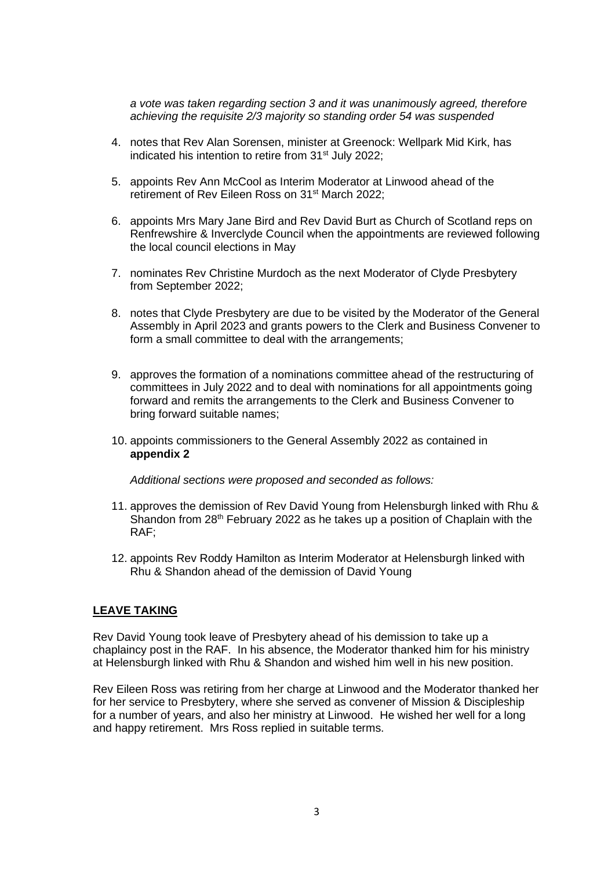*a vote was taken regarding section 3 and it was unanimously agreed, therefore achieving the requisite 2/3 majority so standing order 54 was suspended*

- 4. notes that Rev Alan Sorensen, minister at Greenock: Wellpark Mid Kirk, has indicated his intention to retire from 31<sup>st</sup> July 2022;
- 5. appoints Rev Ann McCool as Interim Moderator at Linwood ahead of the retirement of Rev Eileen Ross on 31<sup>st</sup> March 2022;
- 6. appoints Mrs Mary Jane Bird and Rev David Burt as Church of Scotland reps on Renfrewshire & Inverclyde Council when the appointments are reviewed following the local council elections in May
- 7. nominates Rev Christine Murdoch as the next Moderator of Clyde Presbytery from September 2022;
- 8. notes that Clyde Presbytery are due to be visited by the Moderator of the General Assembly in April 2023 and grants powers to the Clerk and Business Convener to form a small committee to deal with the arrangements;
- 9. approves the formation of a nominations committee ahead of the restructuring of committees in July 2022 and to deal with nominations for all appointments going forward and remits the arrangements to the Clerk and Business Convener to bring forward suitable names;
- 10. appoints commissioners to the General Assembly 2022 as contained in **appendix 2**

*Additional sections were proposed and seconded as follows:*

- 11. approves the demission of Rev David Young from Helensburgh linked with Rhu & Shandon from  $28<sup>th</sup>$  February 2022 as he takes up a position of Chaplain with the RAF;
- 12. appoints Rev Roddy Hamilton as Interim Moderator at Helensburgh linked with Rhu & Shandon ahead of the demission of David Young

## **LEAVE TAKING**

Rev David Young took leave of Presbytery ahead of his demission to take up a chaplaincy post in the RAF. In his absence, the Moderator thanked him for his ministry at Helensburgh linked with Rhu & Shandon and wished him well in his new position.

Rev Eileen Ross was retiring from her charge at Linwood and the Moderator thanked her for her service to Presbytery, where she served as convener of Mission & Discipleship for a number of years, and also her ministry at Linwood. He wished her well for a long and happy retirement. Mrs Ross replied in suitable terms.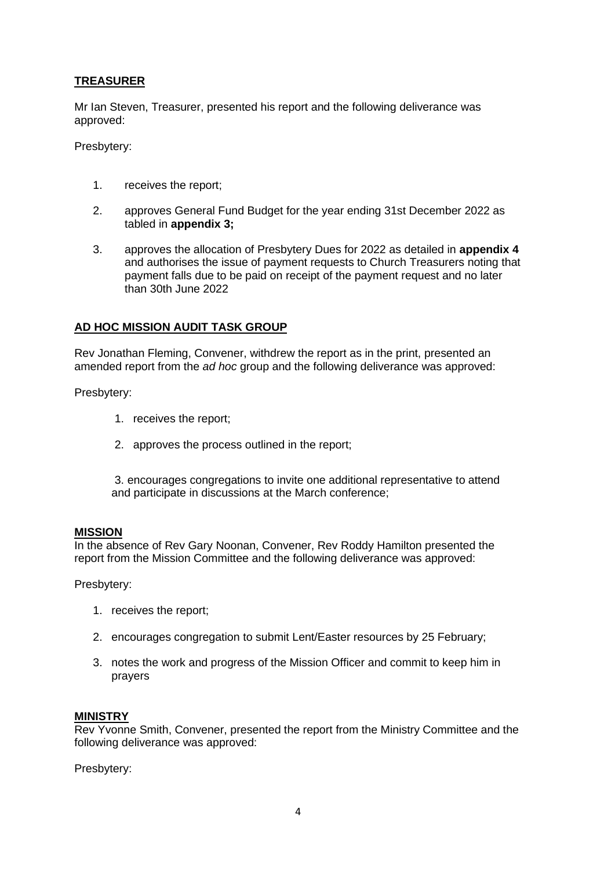# **TREASURER**

Mr Ian Steven, Treasurer, presented his report and the following deliverance was approved:

Presbytery:

- 1. receives the report;
- 2. approves General Fund Budget for the year ending 31st December 2022 as tabled in **appendix 3;**
- 3. approves the allocation of Presbytery Dues for 2022 as detailed in **appendix 4** and authorises the issue of payment requests to Church Treasurers noting that payment falls due to be paid on receipt of the payment request and no later than 30th June 2022

## **AD HOC MISSION AUDIT TASK GROUP**

Rev Jonathan Fleming, Convener, withdrew the report as in the print, presented an amended report from the *ad hoc* group and the following deliverance was approved:

Presbytery:

- 1. receives the report;
- 2. approves the process outlined in the report;

3. encourages congregations to invite one additional representative to attend and participate in discussions at the March conference;

#### **MISSION**

In the absence of Rev Gary Noonan, Convener, Rev Roddy Hamilton presented the report from the Mission Committee and the following deliverance was approved:

Presbytery:

- 1. receives the report;
- 2. encourages congregation to submit Lent/Easter resources by 25 February;
- 3. notes the work and progress of the Mission Officer and commit to keep him in prayers

#### **MINISTRY**

Rev Yvonne Smith, Convener, presented the report from the Ministry Committee and the following deliverance was approved:

Presbytery: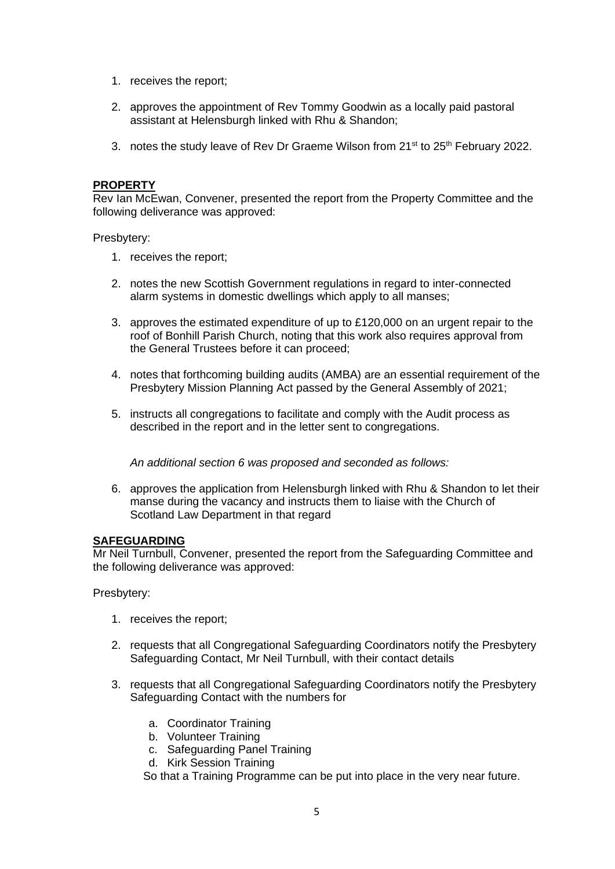- 1. receives the report;
- 2. approves the appointment of Rev Tommy Goodwin as a locally paid pastoral assistant at Helensburgh linked with Rhu & Shandon;
- 3. notes the study leave of Rev Dr Graeme Wilson from 21<sup>st</sup> to 25<sup>th</sup> February 2022.

## **PROPERTY**

Rev Ian McEwan, Convener, presented the report from the Property Committee and the following deliverance was approved:

Presbytery:

- 1. receives the report;
- 2. notes the new Scottish Government regulations in regard to inter-connected alarm systems in domestic dwellings which apply to all manses;
- 3. approves the estimated expenditure of up to £120,000 on an urgent repair to the roof of Bonhill Parish Church, noting that this work also requires approval from the General Trustees before it can proceed;
- 4. notes that forthcoming building audits (AMBA) are an essential requirement of the Presbytery Mission Planning Act passed by the General Assembly of 2021;
- 5. instructs all congregations to facilitate and comply with the Audit process as described in the report and in the letter sent to congregations.

*An additional section 6 was proposed and seconded as follows:*

6. approves the application from Helensburgh linked with Rhu & Shandon to let their manse during the vacancy and instructs them to liaise with the Church of Scotland Law Department in that regard

#### **SAFEGUARDING**

Mr Neil Turnbull, Convener, presented the report from the Safeguarding Committee and the following deliverance was approved:

Presbytery:

- 1. receives the report;
- 2. requests that all Congregational Safeguarding Coordinators notify the Presbytery Safeguarding Contact, Mr Neil Turnbull, with their contact details
- 3. requests that all Congregational Safeguarding Coordinators notify the Presbytery Safeguarding Contact with the numbers for
	- a. Coordinator Training
	- b. Volunteer Training
	- c. Safeguarding Panel Training
	- d. Kirk Session Training

So that a Training Programme can be put into place in the very near future.